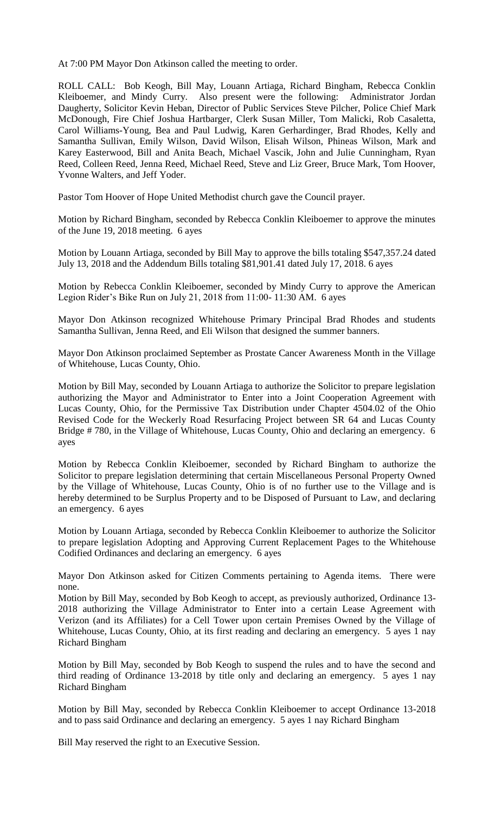At 7:00 PM Mayor Don Atkinson called the meeting to order.

ROLL CALL: Bob Keogh, Bill May, Louann Artiaga, Richard Bingham, Rebecca Conklin Kleiboemer, and Mindy Curry. Also present were the following: Administrator Jordan Daugherty, Solicitor Kevin Heban, Director of Public Services Steve Pilcher, Police Chief Mark McDonough, Fire Chief Joshua Hartbarger, Clerk Susan Miller, Tom Malicki, Rob Casaletta, Carol Williams-Young, Bea and Paul Ludwig, Karen Gerhardinger, Brad Rhodes, Kelly and Samantha Sullivan, Emily Wilson, David Wilson, Elisah Wilson, Phineas Wilson, Mark and Karey Easterwood, Bill and Anita Beach, Michael Vascik, John and Julie Cunningham, Ryan Reed, Colleen Reed, Jenna Reed, Michael Reed, Steve and Liz Greer, Bruce Mark, Tom Hoover, Yvonne Walters, and Jeff Yoder.

Pastor Tom Hoover of Hope United Methodist church gave the Council prayer.

Motion by Richard Bingham, seconded by Rebecca Conklin Kleiboemer to approve the minutes of the June 19, 2018 meeting. 6 ayes

Motion by Louann Artiaga, seconded by Bill May to approve the bills totaling \$547,357.24 dated July 13, 2018 and the Addendum Bills totaling \$81,901.41 dated July 17, 2018. 6 ayes

Motion by Rebecca Conklin Kleiboemer, seconded by Mindy Curry to approve the American Legion Rider's Bike Run on July 21, 2018 from 11:00- 11:30 AM. 6 ayes

Mayor Don Atkinson recognized Whitehouse Primary Principal Brad Rhodes and students Samantha Sullivan, Jenna Reed, and Eli Wilson that designed the summer banners.

Mayor Don Atkinson proclaimed September as Prostate Cancer Awareness Month in the Village of Whitehouse, Lucas County, Ohio.

Motion by Bill May, seconded by Louann Artiaga to authorize the Solicitor to prepare legislation authorizing the Mayor and Administrator to Enter into a Joint Cooperation Agreement with Lucas County, Ohio, for the Permissive Tax Distribution under Chapter 4504.02 of the Ohio Revised Code for the Weckerly Road Resurfacing Project between SR 64 and Lucas County Bridge # 780, in the Village of Whitehouse, Lucas County, Ohio and declaring an emergency. 6 ayes

Motion by Rebecca Conklin Kleiboemer, seconded by Richard Bingham to authorize the Solicitor to prepare legislation determining that certain Miscellaneous Personal Property Owned by the Village of Whitehouse, Lucas County, Ohio is of no further use to the Village and is hereby determined to be Surplus Property and to be Disposed of Pursuant to Law, and declaring an emergency. 6 ayes

Motion by Louann Artiaga, seconded by Rebecca Conklin Kleiboemer to authorize the Solicitor to prepare legislation Adopting and Approving Current Replacement Pages to the Whitehouse Codified Ordinances and declaring an emergency. 6 ayes

Mayor Don Atkinson asked for Citizen Comments pertaining to Agenda items. There were none.

Motion by Bill May, seconded by Bob Keogh to accept, as previously authorized, Ordinance 13- 2018 authorizing the Village Administrator to Enter into a certain Lease Agreement with Verizon (and its Affiliates) for a Cell Tower upon certain Premises Owned by the Village of Whitehouse, Lucas County, Ohio, at its first reading and declaring an emergency. 5 ayes 1 nay Richard Bingham

Motion by Bill May, seconded by Bob Keogh to suspend the rules and to have the second and third reading of Ordinance 13-2018 by title only and declaring an emergency. 5 ayes 1 nay Richard Bingham

Motion by Bill May, seconded by Rebecca Conklin Kleiboemer to accept Ordinance 13-2018 and to pass said Ordinance and declaring an emergency. 5 ayes 1 nay Richard Bingham

Bill May reserved the right to an Executive Session.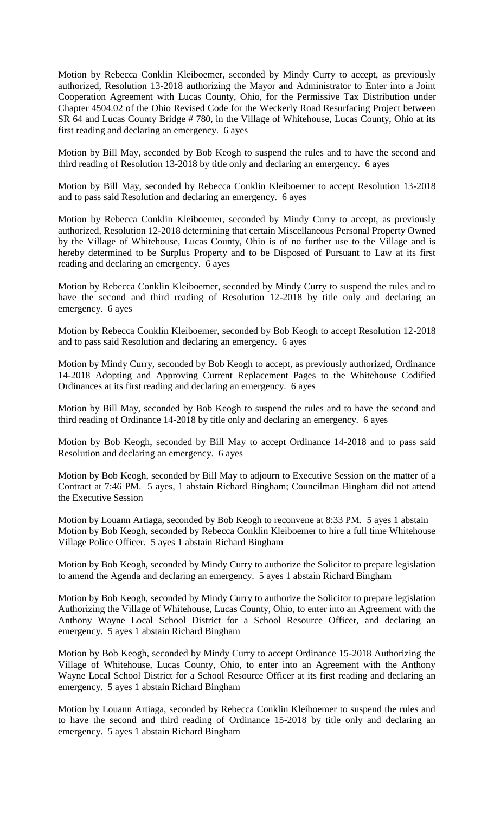Motion by Rebecca Conklin Kleiboemer, seconded by Mindy Curry to accept, as previously authorized, Resolution 13-2018 authorizing the Mayor and Administrator to Enter into a Joint Cooperation Agreement with Lucas County, Ohio, for the Permissive Tax Distribution under Chapter 4504.02 of the Ohio Revised Code for the Weckerly Road Resurfacing Project between SR 64 and Lucas County Bridge # 780, in the Village of Whitehouse, Lucas County, Ohio at its first reading and declaring an emergency. 6 ayes

Motion by Bill May, seconded by Bob Keogh to suspend the rules and to have the second and third reading of Resolution 13-2018 by title only and declaring an emergency. 6 ayes

Motion by Bill May, seconded by Rebecca Conklin Kleiboemer to accept Resolution 13-2018 and to pass said Resolution and declaring an emergency. 6 ayes

Motion by Rebecca Conklin Kleiboemer, seconded by Mindy Curry to accept, as previously authorized, Resolution 12-2018 determining that certain Miscellaneous Personal Property Owned by the Village of Whitehouse, Lucas County, Ohio is of no further use to the Village and is hereby determined to be Surplus Property and to be Disposed of Pursuant to Law at its first reading and declaring an emergency. 6 ayes

Motion by Rebecca Conklin Kleiboemer, seconded by Mindy Curry to suspend the rules and to have the second and third reading of Resolution 12-2018 by title only and declaring an emergency. 6 ayes

Motion by Rebecca Conklin Kleiboemer, seconded by Bob Keogh to accept Resolution 12-2018 and to pass said Resolution and declaring an emergency. 6 ayes

Motion by Mindy Curry, seconded by Bob Keogh to accept, as previously authorized, Ordinance 14-2018 Adopting and Approving Current Replacement Pages to the Whitehouse Codified Ordinances at its first reading and declaring an emergency. 6 ayes

Motion by Bill May, seconded by Bob Keogh to suspend the rules and to have the second and third reading of Ordinance 14-2018 by title only and declaring an emergency. 6 ayes

Motion by Bob Keogh, seconded by Bill May to accept Ordinance 14-2018 and to pass said Resolution and declaring an emergency. 6 ayes

Motion by Bob Keogh, seconded by Bill May to adjourn to Executive Session on the matter of a Contract at 7:46 PM. 5 ayes, 1 abstain Richard Bingham; Councilman Bingham did not attend the Executive Session

Motion by Louann Artiaga, seconded by Bob Keogh to reconvene at 8:33 PM. 5 ayes 1 abstain Motion by Bob Keogh, seconded by Rebecca Conklin Kleiboemer to hire a full time Whitehouse Village Police Officer. 5 ayes 1 abstain Richard Bingham

Motion by Bob Keogh, seconded by Mindy Curry to authorize the Solicitor to prepare legislation to amend the Agenda and declaring an emergency. 5 ayes 1 abstain Richard Bingham

Motion by Bob Keogh, seconded by Mindy Curry to authorize the Solicitor to prepare legislation Authorizing the Village of Whitehouse, Lucas County, Ohio, to enter into an Agreement with the Anthony Wayne Local School District for a School Resource Officer, and declaring an emergency. 5 ayes 1 abstain Richard Bingham

Motion by Bob Keogh, seconded by Mindy Curry to accept Ordinance 15-2018 Authorizing the Village of Whitehouse, Lucas County, Ohio, to enter into an Agreement with the Anthony Wayne Local School District for a School Resource Officer at its first reading and declaring an emergency. 5 ayes 1 abstain Richard Bingham

Motion by Louann Artiaga, seconded by Rebecca Conklin Kleiboemer to suspend the rules and to have the second and third reading of Ordinance 15-2018 by title only and declaring an emergency. 5 ayes 1 abstain Richard Bingham